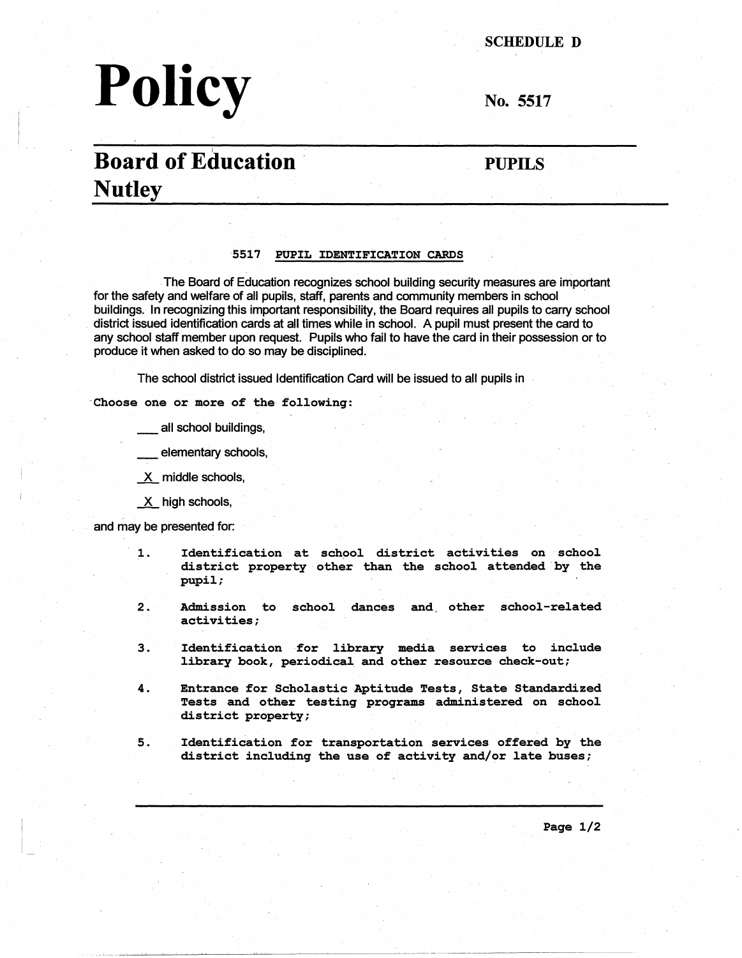# Policy No. 5517

SCHEDULE D

# **Board of Education PUPILS Nutley**

#### **5517 PUPIL IDENTIFICATION CARDS**

- . The Board of Education recognizes school building security measures are important for the safety and welfare of all pupils, staff, parents and community members in school buildings. In recognizing this important responsibility, the Board requires all pupils to carry school . district issued identification cards at all times while in school. A pupil must present the card to any school staff member upon request. Pupils who fail to have the card in their possession or to produce it when asked to do so may be disciplined.

The school district issued Identification Card will be issued to all pupils in

**-choose one or more of the following:** 

all school buildings,

elementary schools,

X middle schools,

 $X$  high schools,

and may be presented for:

,

- 1. Identification at school district activities on school district property other than the school attended by the pupil;
- 2. Admission to school dances and. other school-related activities;
- 3. Identification for library media services to include library book, periodical and other resource check-out;
- 4. Entrance for Scholastic Aptitude Tests, State Standardized Tests and other testing programs administered on school district property;
- 5. Identification for transportation services offered by the district including the use of activity and/or late buses;

Page 1/2